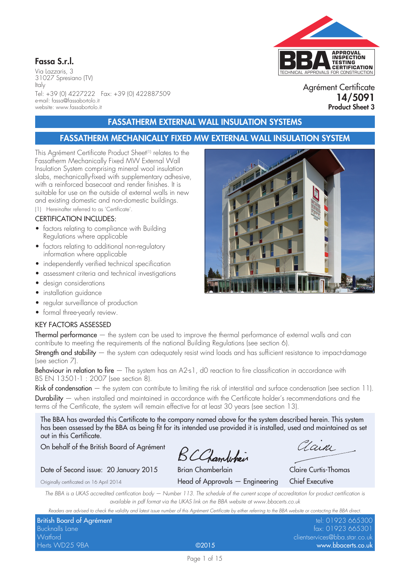## Fassa S.r.l.

Via Lazzaris, 3 31027 Spresiano (TV) Italy Tel: +39 (0) 4227222 Fax: +39 (0) 422887509 e-mail: fassa@fassabortolo.it website: www.fassabortolo.it

## TECHNICAL APPROVALS FOR CONSTRUCTION **APPROVAL INSPECTION TESTING CERTIFICATION**

Agrément Certificate 14/5091 Product Sheet 3

## FASSATHERM EXTERNAL WALL INSULATION SYSTEMS

## FASSATHERM MECHANICALLY FIXED MW EXTERNAL WALL INSULATION SYSTEM

This Agrément Certificate Product Sheet<sup>(1)</sup> relates to the Fassatherm Mechanically Fixed MW External Wall Insulation System comprising mineral wool insulation slabs, mechanically-fixed with supplementary adhesive, with a reinforced basecoat and render finishes. It is suitable for use on the outside of external walls in new and existing domestic and non-domestic buildings. (1) Hereinafter referred to as 'Certificate'.

### CERTIFICATION INCLUDES:

- factors relating to compliance with Building Regulations where applicable
- factors relating to additional non-regulatory information where applicable
- independently verified technical specification
- assessment criteria and technical investigations
- design considerations
- installation guidance
- regular surveillance of production
- formal three-yearly review.

## KEY FACTORS ASSESSED

**Thermal performance**  $-$  the system can be used to improve the thermal performance of external walls and can contribute to meeting the requirements of the national Building Regulations (see section 6).

**Strength and stability**  $-$  the system can adequately resist wind loads and has sufficient resistance to impact-damage (see section 7).

Behaviour in relation to fire – The system has an A2-s1, dO reaction to fire classification in accordance with BS EN 13501-1 : 2007 (see section 8).

Risk of condensation – the system can contribute to limiting the risk of interstitial and surface condensation (see section 11). Durability — when installed and maintained in accordance with the Certificate holder's recommendations and the terms of the Certificate, the system will remain effective for at least 30 years (see section 13).

The BBA has awarded this Certificate to the company named above for the system described herein. This system has been assessed by the BBA as being fit for its intended use provided it is installed, used and maintained as set out in this Certificate.

On behalf of the British Board of Agrément

BCChambehain

# Date of Second issue: 20 January 2015 Brian Chamberlain Claire Curtis-Thomas

Zain

Originally certificated on 16 April 2014 Head of Approvals — Engineering Chief Executive

*The BBA is a UKAS accredited certification body — Number 113. The schedule of the current scope of accreditation for product certification is available in pdf format via the UKAS link on the BBA website at www.bbacerts.co.uk*

*Readers are advised to check the validity and latest issue number of this Agrément Certificate by either referring to the BBA website or contacting the BBA direct.*

| Readers are advised to crieck the validity and latest issue number of this Agrement Centricate by either referring to the DDA website of confacting the DDA affect. |       |                               |  |  |
|---------------------------------------------------------------------------------------------------------------------------------------------------------------------|-------|-------------------------------|--|--|
| British Board of Agrément                                                                                                                                           |       | tel: 01923 665300             |  |  |
| <b>Bucknalls Lane</b>                                                                                                                                               |       | fax: 01923 665301             |  |  |
| Watford                                                                                                                                                             |       | clientservices@bba.star.co.uk |  |  |
| Herts WD25 9BA                                                                                                                                                      | @2015 | www.bbacerts.co.uk            |  |  |

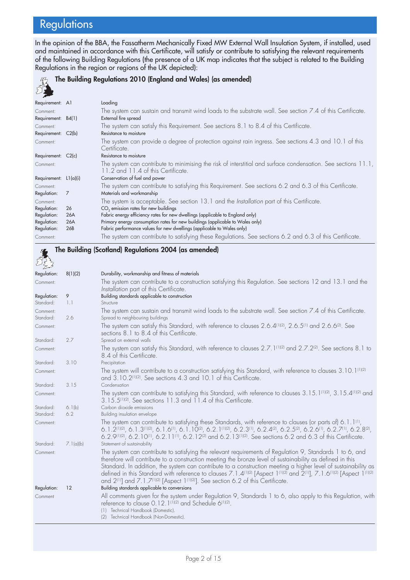## **Regulations**

In the opinion of the BBA, the Fassatherm Mechanically Fixed MW External Wall Insulation System, if installed, used and maintained in accordance with this Certificate, will satisfy or contribute to satisfying the relevant requirements of the following Building Regulations (the presence of a UK map indicates that the subject is related to the Building Regulations in the region or regions of the UK depicted):

#### The Building Regulations 2010 (England and Wales) (as amended)  $\mathbb{Z}^2$ Requirement: A1 Loading Comment: The system can sustain and transmit wind loads to the substrate wall. See section 7.4 of this Certificate. Requirement: B4(1) Comment: The system can satisfy this Requirement. See sections 8.1 to 8.4 of this Certificate. Requirement: C2(b) Resistance to moisture Comment: The system can provide a degree of protection against rain ingress. See sections 4.3 and 10.1 of this Certificate. Requirement: C2(c) Resistance to moisture Comment: The system can contribute to minimising the risk of interstitial and surface condensation. See sections 11.1, 11.2 and 11.4 of this Certificate. Requirement: L1(a)(i) Conservation of fuel and power Comment: The system can contribute to satisfying this Requirement. See sections 6.2 and 6.3 of this Certificate. Regulation: 7 Materials and workmanship Comment: The system is acceptable. See section 13.1 and the *Installation* part of this Certificate. Regulation: 26  $CO<sub>2</sub>$  emission rates for new buildings<br>
Regulation: 26A Fabric energy efficiency rates for new Fabric energy efficiency rates for new dwellings (applicable to England only) Regulation: 26A Primary energy consumption rates for new buildings (applicable to Wales only)<br>Regulation: 26B Fabric performance values for new dwellings (applicable to Wales only) 26B Fabric performance values for new dwellings (applicable to Wales only) Comment: The system can contribute to satisfying these Regulations. See sections 6.2 and 6.3 of this Certificate.

#### The Building (Scotland) Regulations 2004 (as amended) لمولاغ<br>مرکز Regulation: 8(1)(2) Durability, workmanship and fitness of materials Comment: The system can contribute to a construction satisfying this Regulation. See sections 12 and 13.1 and the *Installation* part of this Certificate. Regulation: 9 Building standards applicable to construction Standard: 1.1 Structure Comment: The system can sustain and transmit wind loads to the substrate wall. See section 7.4 of this Certificate. Standard: 2.6 Spread to neighbouring buildings Comment: The system can satisfy this Standard, with reference to clauses 2.6.4<sup>(1)(2)</sup>, 2.6.5<sup>(1)</sup> and 2.6.6<sup>(2)</sup>. See sections 8.1 to 8.4 of this Certificate. Standard: 2.7 Spread on external walls Comment: The system can satisfy this Standard, with reference to clauses 2.7.1<sup>(1)(2)</sup> and 2.7.2<sup>(2)</sup>. See sections 8.1 to 8.4 of this Certificate. Standard: 3.10 Precipitation Comment: The system will contribute to a construction satisfying this Standard, with reference to clauses 3.10.1<sup>(1)(2)</sup> and 3.10.2<sup>(1)(2)</sup>. See sections 4.3 and 10.1 of this Certificate. Standard: 3.15 Condensation Comment: The system can contribute to satisfying this Standard, with reference to clauses 3.15.1(1)(2), 3.15.4(1)(2) and 3.15.5(1)(2). See sections 11.3 and 11.4 of this Certificate. Standard: 6.1(b) Carbon dioxide emissions Standard: 6.2 Building insulation envelope Comment: The system can contribute to satisfying these Standards, with reference to clauses (or parts of) 6.1.1<sup>(1)</sup>, 6.1.2(1)(2), 6.1.3(1)(2), 6.1.6(1), 6.1.10(2), 6.2.1(1)(2), 6.2.3(1), 6.2.4(2), 6.2.5(2), 6.2.6(1), 6.2.7(1), 6.2.8(2), 6.2.9(1)(2), 6.2.10(1), 6.2.11(1), 6.2.12(2) and 6.2.13(1)(2). See sections 6.2 and 6.3 of this Certificate. Standard: 7.1(a)(b) Statement of sustainability Comment: The system can contribute to satisfying the relevant requirements of Regulation 9, Standards 1 to 6, and therefore will contribute to a construction meeting the bronze level of sustainability as defined in this Standard. In addition, the system can contribute to a construction meeting a higher level of sustainability as defined in this Standard with reference to clauses 7.1.4<sup>(1)(2)</sup> [Aspect 1<sup>(1)(2)</sup> and 2<sup>(1)</sup>], 7.1.6<sup>(1)(2)</sup> [Aspect 1<sup>(1)(2)</sup> and 2<sup>(1)</sup>] and 7.1.7<sup>(1)(2)</sup> [Aspect 1<sup>(1)(2)</sup>]. See section 6.2 of this Certificate. Regulation: 12 Building standards applicable to conversions Comment All comments given for the system under Regulation 9, Standards 1 to 6, also apply to this Regulation, with reference to clause 0.12.1<sup>(1)(2)</sup> and Schedule 6<sup>(1)(2)</sup>. (1) Technical Handbook (Domestic). (2) Technical Handbook (Non-Domestic).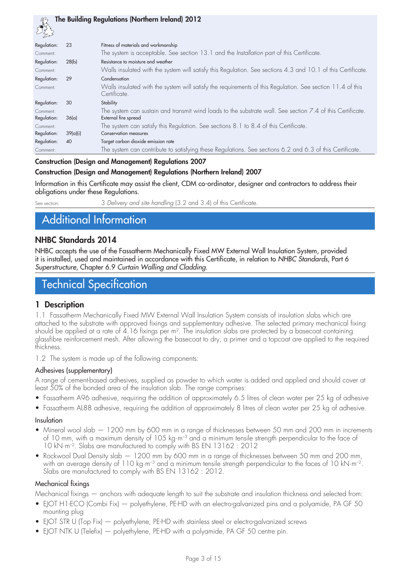|                         |          | The Building Regulations (Northern Ireland) 2012                                                                                   |
|-------------------------|----------|------------------------------------------------------------------------------------------------------------------------------------|
| Regulation:             | 23       | Fitness of materials and workmanship                                                                                               |
| Comment:                |          | The system is acceptable. See section 13.1 and the Installation part of this Certificate.                                          |
| Regulation:             | 28(b)    | Resistance to moisture and weather                                                                                                 |
| Comment:                |          | Walls insulated with the system will satisfy this Regulation. See sections 4.3 and 10.1 of this Certificate.                       |
| Regulation:             | 29       | Condensation                                                                                                                       |
| Comment:                |          | Walls insulated with the system will satisfy the requirements of this Regulation. See section 11.4 of this<br>Certificate.         |
| Regulation:             | 30       | Stability                                                                                                                          |
| Comment:<br>Regulation: | 36(a)    | The system can sustain and transmit wind loads to the substrate wall. See section 7.4 of this Certificate.<br>External fire spread |
| Comment:<br>Regulation: | 39(a)(i) | The system can satisfy this Regulation. See sections 8.1 to 8.4 of this Certificate.<br><b>Conservation measures</b>               |
| Regulation:             | 40       | Target carbon dioxide emission rate                                                                                                |
| Comment:                |          | The system can contribute to satisfying these Regulations. See sections 6.2 and 6.3 of this Certificate.                           |

#### Construction (Design and Management) Regulations 2007

#### Construction (Design and Management) Regulations (Northern Ireland) 2007

Information in this Certificate may assist the client, CDM co-ordinator, designer and contractors to address their obligations under these Regulations.

See section: 3 *Delivery and site handling* (3.2 and 3.4) of this Certificate.

## Additional Information

## NHBC Standards 2014

NHBC accepts the use of the Fassatherm Mechanically Fixed MW External Wall Insulation System, provided it is installed, used and maintained in accordance with this Certificate, in relation to *NHBC Standards*, Part 6 *Superstructure*, Chapter 6.9 *Curtain Walling and Cladding*.

## Technical Specification

#### 1 Description

1.1 Fassatherm Mechanically Fixed MW External Wall Insulation System consists of insulation slabs which are attached to the substrate with approved fixings and supplementary adhesive. The selected primary mechanical fixing should be applied at a rate of 4.16 fixings per m<sup>2</sup>. The insulation slabs are protected by a basecoat containing glassfibre reinforcement mesh. After allowing the basecoat to dry, a primer and a topcoat are applied to the required thickness.

1.2 The system is made up of the following components:

#### Adhesives (supplementary)

A range of cement-based adhesives, supplied as powder to which water is added and applied and should cover at least 50% of the bonded area of the insulation slab. The range comprises:

- Fassatherm A96 adhesive, requiring the addition of approximately 6.5 litres of clean water per 25 kg of adhesive
- • Fassatherm AL88 adhesive, requiring the addition of approximately 8 litres of clean water per 25 kg of adhesive.

#### Insulation

- Mineral wool slab  $-1200$  mm by 600 mm in a range of thicknesses between 50 mm and 200 mm in increments of 10 mm, with a maximum density of 105 kg·m–3 and a minimum tensile strength perpendicular to the face of 10 kN·m–2. Slabs are manufactured to comply with BS EN 13162 : 2012
- Rockwool Dual Density slab  $-1200$  mm by 600 mm in a range of thicknesses between 50 mm and 200 mm, with an average density of 110 kg·m<sup>-3</sup> and a minimum tensile strength perpendicular to the faces of 10 kN·m<sup>-2</sup>. Slabs are manufactured to comply with BS EN 13162 : 2012.

#### Mechanical fixings

Mechanical fixings — anchors with adequate length to suit the substrate and insulation thickness and selected from:

- EJOT H1-ECO (Combi Fix) polyethylene, PE-HD with an electro-galvanized pins and a polyamide, PA GF 50 mounting plug
- EJOT STR U (Top Fix) polyethylene, PE-HD with stainless steel or electro-galvanized screws
- EJOT NTK U (Telefix) polyethylene, PE-HD with a polyamide, PA GF 50 centre pin.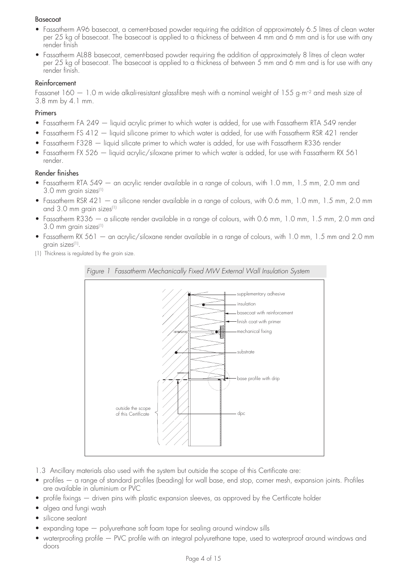#### Basecoat

- • Fassatherm A96 basecoat, a cement-based powder requiring the addition of approximately 6.5 litres of clean water per 25 kg of basecoat. The basecoat is applied to a thickness of between 4 mm and 6 mm and is for use with any render finish
- Fassatherm AL88 basecoat, cement-based powder requiring the addition of approximately 8 litres of clean water per 25 kg of basecoat. The basecoat is applied to a thickness of between 5 mm and 6 mm and is for use with any render finish.

#### Reinforcement

Fassanet 160 — 1.0 m wide alkali-resistant glassfibre mesh with a nominal weight of 155 g·m–2 and mesh size of 3.8 mm by 4.1 mm.

#### Primers

- Fassatherm FA 249 liquid acrylic primer to which water is added, for use with Fassatherm RTA 549 render
- Fassatherm FS 412 liquid silicone primer to which water is added, for use with Fassatherm RSR 421 render
- Fassatherm F328 liquid silicate primer to which water is added, for use with Fassatherm R336 render
- Fassatherm FX 526  $-$  liquid acrylic/siloxane primer to which water is added, for use with Fassatherm RX 561 render.

#### Render finishes

- Fassatherm RTA 549 an acrylic render available in a range of colours, with 1.0 mm, 1.5 mm, 2.0 mm and 3.0 mm grain sizes(1)
- Fassatherm RSR 421 a silicone render available in a range of colours, with 0.6 mm, 1.0 mm, 1.5 mm, 2.0 mm and 3.0 mm grain sizes<sup>(1)</sup>
- Fassatherm R336 a silicate render available in a range of colours, with 0.6 mm, 1.0 mm, 1.5 mm, 2.0 mm and 3.0 mm grain sizes<sup>(1)</sup>
- Fassatherm RX 561 an acrylic/siloxane render available in a range of colours, with 1.0 mm, 1.5 mm and 2.0 mm grain sizes<sup>(1)</sup>.
- (1) Thickness is regulated by the grain size.



- 1.3 Ancillary materials also used with the system but outside the scope of this Certificate are:
- profiles a range of standard profiles (beading) for wall base, end stop, corner mesh, expansion joints. Profiles are available in aluminium or PVC
- profile fixings driven pins with plastic expansion sleeves, as approved by the Certificate holder
- algea and fungi wash
- silicone sealant
- $\alpha$  expanding tape  $-$  polyurethane soft foam tape for sealing around window sills
- waterproofing profile PVC profile with an integral polyurethane tape, used to waterproof around windows and doors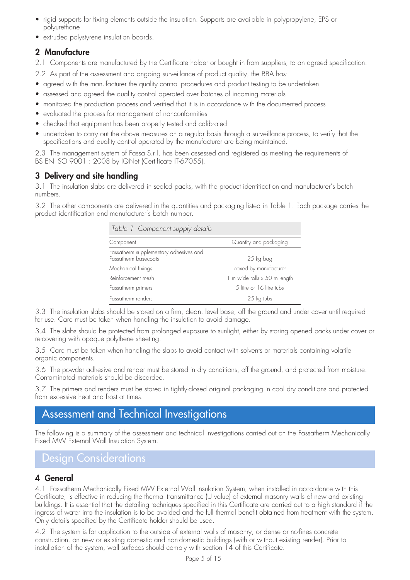- rigid supports for fixing elements outside the insulation. Supports are available in polypropylene, EPS or polyurethane
- extruded polystyrene insulation boards.

## 2 Manufacture

2.1 Components are manufactured by the Certificate holder or bought in from suppliers, to an agreed specification.

2.2 As part of the assessment and ongoing surveillance of product quality, the BBA has:

- agreed with the manufacturer the quality control procedures and product testing to be undertaken
- assessed and agreed the quality control operated over batches of incoming materials
- monitored the production process and verified that it is in accordance with the documented process
- evaluated the process for management of nonconformities
- checked that equipment has been properly tested and calibrated
- undertaken to carry out the above measures on a regular basis through a surveillance process, to verify that the specifications and quality control operated by the manufacturer are being maintained.

2.3 The management system of Fassa S.r.l. has been assessed and registered as meeting the requirements of BS EN ISO 9001 : 2008 by IQNet (Certificate IT-67055).

## 3 Delivery and site handling

3.1 The insulation slabs are delivered in sealed packs, with the product identification and manufacturer's batch numbers.

3.2 The other components are delivered in the quantities and packaging listed in Table 1. Each package carries the product identification and manufacturer's batch number.

| Table 1 Component supply details                               |                              |
|----------------------------------------------------------------|------------------------------|
| Component                                                      | Quantity and packaging       |
| Fassatherm supplementary adhesives and<br>Fassatherm basecoats | 25 kg bag                    |
| Mechanical fixings                                             | boxed by manufacturer        |
| Reinforcement mesh                                             | 1 m wide rolls x 50 m length |
| Fassatherm primers                                             | 5 litre or 16 litre tubs     |
| Fassatherm renders                                             | 25 kg tubs                   |

3.3 The insulation slabs should be stored on a firm, clean, level base, off the ground and under cover until required for use. Care must be taken when handling the insulation to avoid damage.

3.4 The slabs should be protected from prolonged exposure to sunlight, either by storing opened packs under cover or re-covering with opaque polythene sheeting.

3.5 Care must be taken when handling the slabs to avoid contact with solvents or materials containing volatile organic components.

3.6 The powder adhesive and render must be stored in dry conditions, off the ground, and protected from moisture. Contaminated materials should be discarded.

3.7 The primers and renders must be stored in tightly-closed original packaging in cool dry conditions and protected from excessive heat and frost at times.

## Assessment and Technical Investigations

The following is a summary of the assessment and technical investigations carried out on the Fassatherm Mechanically Fixed MW External Wall Insulation System.

## Design Considerations

## 4 General

4.1 Fassatherm Mechanically Fixed MW External Wall Insulation System, when installed in accordance with this Certificate, is effective in reducing the thermal transmittance (U value) of external masonry walls of new and existing buildings. It is essential that the detailing techniques specified in this Certificate are carried out to a high standard if the ingress of water into the insulation is to be avoided and the full thermal benefit obtained from treatment with the system. Only details specified by the Certificate holder should be used.

4.2 The system is for application to the outside of external walls of masonry, or dense or no-fines concrete construction, on new or existing domestic and non-domestic buildings (with or without existing render). Prior to installation of the system, wall surfaces should comply with section 14 of this Certificate.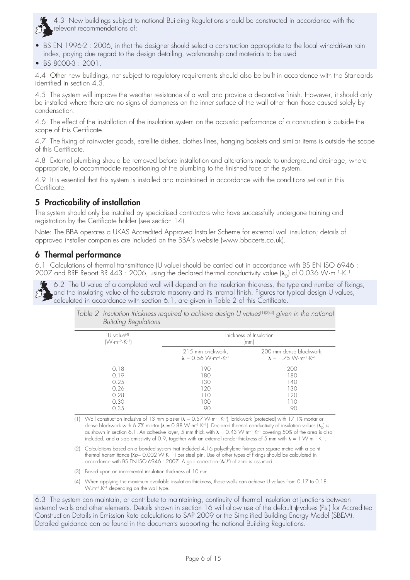4.3 New buildings subject to national Building Regulations should be constructed in accordance with the relevant recommendations of:

- BS EN 1996-2 : 2006, in that the designer should select a construction appropriate to the local wind-driven rain index, paying due regard to the design detailing, workmanship and materials to be used
- BS 8000-3: 2001.

4.4 Other new buildings, not subject to regulatory requirements should also be built in accordance with the Standards identified in section 4.3.

4.5 The system will improve the weather resistance of a wall and provide a decorative finish. However, it should only be installed where there are no signs of dampness on the inner surface of the wall other than those caused solely by condensation.

4.6 The effect of the installation of the insulation system on the acoustic performance of a construction is outside the scope of this Certificate.

4.7 The fixing of rainwater goods, satellite dishes, clothes lines, hanging baskets and similar items is outside the scope of this Certificate.

4.8 External plumbing should be removed before installation and alterations made to underground drainage, where appropriate, to accommodate repositioning of the plumbing to the finished face of the system.

4.9 It is essential that this system is installed and maintained in accordance with the conditions set out in this Certificate.

## 5 Practicability of installation

The system should only be installed by specialised contractors who have successfully undergone training and registration by the Certificate holder (see section 14).

Note: The BBA operates a UKAS Accredited Approved Installer Scheme for external wall insulation; details of approved installer companies are included on the BBA's website (www.bbacerts.co.uk).

## 6 Thermal performance

6.1 Calculations of thermal transmittance (U value) should be carried out in accordance with BS EN ISO 6946 : 2007 and BRE Report BR 443 : 2006, using the declared thermal conductivity value  $(\lambda_n)$  of 0.036 W·m<sup>-1</sup>·K<sup>-1</sup>.

 $\blacklozenge$  6.2 The U value of a completed wall will depend on the insulation thickness, the type and number of fixings, and the insulating value of the substrate masonry and its internal finish. Figures for typical design U values, calculated in accordance with section 6.1, are given in Table 2 of this Certificate.

| <b>Building Regulations</b>     |                                                                                         |                                                                                               |
|---------------------------------|-----------------------------------------------------------------------------------------|-----------------------------------------------------------------------------------------------|
| $U$ value <sup>[4]</sup>        | Thickness of Insulation                                                                 |                                                                                               |
| $(W \cdot m^{-2} \cdot K^{-1})$ | (mm)                                                                                    |                                                                                               |
|                                 | 215 mm brickwork,<br>$\lambda = 0.56$ W $\cdot$ m <sup>-1</sup> $\cdot$ K <sup>-1</sup> | 200 mm dense blockwork,<br>$\lambda = 1.75$ W $\cdot$ m <sup>-1</sup> $\cdot$ K <sup>-1</sup> |
| 0.18                            | 190                                                                                     | 200                                                                                           |
| 0.19                            | 180                                                                                     | 180                                                                                           |
| 0.25                            | 130                                                                                     | 140                                                                                           |
| 0.26                            | 120                                                                                     | 130                                                                                           |
| 0.28                            | 110                                                                                     | 120                                                                                           |
| 0.30                            | 100                                                                                     | 110                                                                                           |
| 0.35                            | 90                                                                                      | 90                                                                                            |

*Table 2* Insulation thickness required to achieve design U values<sup>(1)(2)(3)</sup> given in the national *Building Regulations*

(1) Wall construction inclusive of 13 mm plaster  $(\lambda = 0.57 \text{ W} \cdot \text{m}^{-1} \text{ K}^{-1})$ , brickwork (protected) with 17.1% mortar or dense blockwork with 6.7% mortar ( $\lambda = 0.88$  W m<sup>-1</sup> K<sup>-1</sup>). Declared thermal conductivity of insulation values ( $\lambda_p$ ) is as shown in section 6.1. An adhesive layer, 5 mm thick with  $\lambda = 0.43$  W m<sup>-1</sup> K<sup>-1</sup> covering 50% of the area is also included, and a slab emissivity of 0.9, together with an external render thickness of 5 mm with  $\lambda = 1$  W m<sup>-1</sup> K<sup>-1</sup>.

(2) Calculations based on a bonded system that included 4.16 polyethylene fixings per square metre with a point thermal transmittance (X*p*= 0.002 W K–1) per steel pin. Use of other types of fixings should be calculated in accordance with BS EN ISO 6946 : 2007. A gap correction ( $\Delta U''$ ) of zero is assumed.

- (3) Based upon an incremental insulation thickness of 10 mm.
- (4) When applying the maximum available insulation thickness, these walls can achieve U values from 0.17 to 0.18 W.m–2.K–1 depending on the wall type.

6.3 The system can maintain, or contribute to maintaining, continuity of thermal insulation at junctions between external walls and other elements. Details shown in section 16 will allow use of the default u-values (Psi) for Accredited Construction Details in Emission Rate calculations to SAP 2009 or the Simplified Building Energy Model (SBEM). Detailed guidance can be found in the documents supporting the national Building Regulations.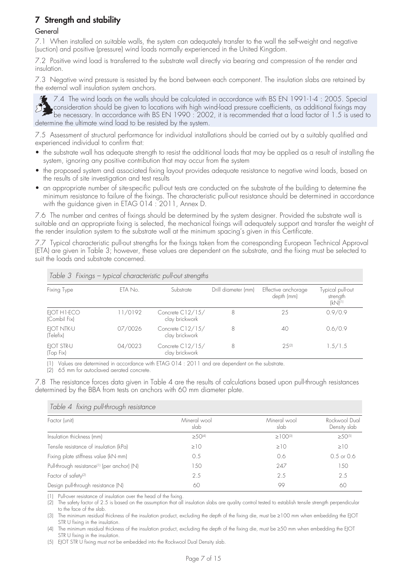## 7 Strength and stability

#### General

7.1 When installed on suitable walls, the system can adequately transfer to the wall the self-weight and negative (suction) and positive (pressure) wind loads normally experienced in the United Kingdom.

7.2 Positive wind load is transferred to the substrate wall directly via bearing and compression of the render and insulation.

7.3 Negative wind pressure is resisted by the bond between each component. The insulation slabs are retained by the external wall insulation system anchors.



7.4 The wind loads on the walls should be calculated in accordance with BS EN 1991-1-4 : 2005. Special consideration should be given to locations with high wind-load pressure coefficients, as additional fixings may be necessary. In accordance with BS EN 1990 : 2002, it is recommended that a load factor of 1.5 is used to determine the ultimate wind load to be resisted by the system.

7.5 Assessment of structural performance for individual installations should be carried out by a suitably qualified and experienced individual to confirm that:

- the substrate wall has adequate strength to resist the additional loads that may be applied as a result of installing the system, ignoring any positive contribution that may occur from the system
- the proposed system and associated fixing layout provides adequate resistance to negative wind loads, based on the results of site investigation and test results
- an appropriate number of site-specific pull-out tests are conducted on the substrate of the building to determine the minimum resistance to failure of the fixings. The characteristic pull-out resistance should be determined in accordance with the guidance given in ETAG 014 : 2011, Annex D.

7.6 The number and centres of fixings should be determined by the system designer. Provided the substrate wall is suitable and an appropriate fixing is selected, the mechanical fixings will adequately support and transfer the weight of the render insulation system to the substrate wall at the minimum spacing's given in this Certificate.

7.7 Typical characteristic pull-out strengths for the fixings taken from the corresponding European Technical Approval (ETA) are given in Table 3; however, these values are dependent on the substrate, and the fixing must be selected to suit the loads and substrate concerned.

| Fixing Type                 | ETA No. | Substrate                          | Drill diameter (mm) | Effective anchorage<br>depth (mm) | Typical pull-out<br>strength<br>$(kN)^{(1)}$ |
|-----------------------------|---------|------------------------------------|---------------------|-----------------------------------|----------------------------------------------|
| EJOT H1-ECO<br>(Combil Fix) | 11/0192 | Concrete C12/15/<br>clay brickwork | 8                   | 25                                | 0.9/0.9                                      |
| EIOT NTK-U<br>(Telefix)     | 07/0026 | Concrete C12/15/<br>clay brickwork | 8                   | 40                                | 0.6/0.9                                      |
| EIOT STR-U<br>(Top Fix)     | 04/0023 | Concrete C12/15/<br>clay brickwork | 8                   | 2.5(2)                            | 1.5/1.5                                      |

*Table 3 Fixings – typical characteristic pull-out strengths*

Values are determined in accordance with ETAG 014 : 2011 and are dependent on the substrate.

(2) 65 mm for autoclaved aerated concrete.

7.8 The resistance forces data given in Table 4 are the results of calculations based upon pull-through resistances determined by the BBA from tests on anchors with 60 mm diameter plate.

| Table 4 tixing pull-through resistance                  |                      |                            |                               |  |
|---------------------------------------------------------|----------------------|----------------------------|-------------------------------|--|
| Factor (unit)                                           | Mineral wool<br>slab | Mineral wool<br>slab       | Rockwool Dual<br>Density slab |  |
| Insulation thickness (mm)                               | $\geq 50^{(4)}$      | $\geq$ 1 00 <sup>(3)</sup> | $>50^{(5)}$                   |  |
| Tensile resistance of insulation (kPa)                  | $\geq$ 10            | $\geq$ 10                  | $\geq$ 10                     |  |
| Fixing plate stiffness value (kN·mm)                    | 0.5                  | 0.6                        | $0.5$ or $0.6$                |  |
| Pull-through resistance <sup>(1)</sup> (per anchor) (N) | 150                  | 247                        | 150                           |  |
| Factor of safety <sup>(2)</sup>                         | 2.5                  | 2.5                        | 2.5                           |  |
| Design pull-through resistance (N)                      | 60                   | 99                         | 60                            |  |

(1) Pull-over resistance of insulation over the head of the fixing.

(2) The safety factor of 2.5 is based on the assumption that all insulation slabs are quality control tested to establish tensile strength perpendicular to the face of the slab.

(3) The minimum residual thickness of the insulation product, excluding the depth of the fixing die, must be ≥100 mm when embedding the EJOT STR U fixing in the insulation.

(4) The minimum residual thickness of the insulation product, excluding the depth of the fixing die, must be ≥50 mm when embedding the EJOT STR U fixing in the insulation.

(5) EJOT STR U fixing must not be embedded into the Rockwool Dual Density slab.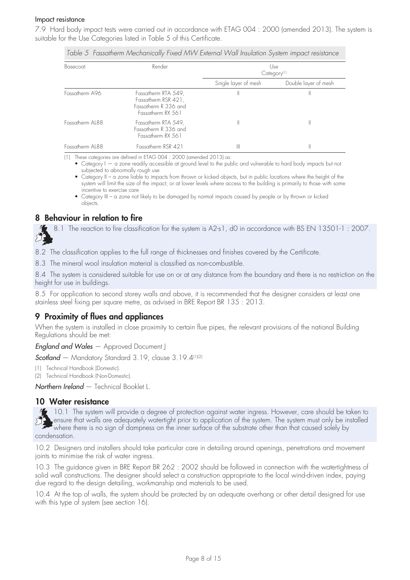#### Impact resistance

7.9 Hard body impact tests were carried out in accordance with ETAG 004 : 2000 (amended 2013). The system is suitable for the Use Categories listed in Table 5 of this Certificate.

| Basecoat        | Render                                                                                  | Use<br>Category <sup>[1]</sup> |                      |  |
|-----------------|-----------------------------------------------------------------------------------------|--------------------------------|----------------------|--|
|                 |                                                                                         | Single layer of mesh           | Double layer of mesh |  |
| Fassatherm A96  | Fassatherm RTA 549,<br>Fassatherm RSR 421,<br>Fassatherm R 336 and<br>Fassatherm RX 561 | Ш                              |                      |  |
| Fassatherm AL88 | Fassatherm RTA 549,<br>Fassatherm R 336 and<br>Fassatherm RX 561                        | II                             | II                   |  |
| Fassatherm AL88 | Fassatherm RSR 421                                                                      | Ш                              |                      |  |

*Table 5 Fassatherm Mechanically Fixed MW External Wall Insulation System impact resistance*

(1) These categories are defined in ETAG 004 : 2000 (amended 2013) as:

 • Category I — a zone readily accessible at ground level to the public and vulnerable to hard body impacts but not subjected to abnormally rough use

• Category II – a zone liable to impacts from thrown or kicked objects, but in public locations where the height of the system will limit the size of the impact; or at lower levels where access to the building is primarily to those with some incentive to exercise care

 • Category III – a zone not likely to be damaged by normal impacts caused by people or by thrown or kicked objects.

## 8 Behaviour in relation to fire

8.1 The reaction to fire classification for the system is A2-s1, d0 in accordance with BS EN 13501-1: 2007.

8.2 The classification applies to the full range of thicknesses and finishes covered by the Certificate.

8.3 The mineral wool insulation material is classified as non-combustible.

8.4 The system is considered suitable for use on or at any distance from the boundary and there is no restriction on the height for use in buildings.

8.5 For application to second storey walls and above, it is recommended that the designer considers at least one stainless steel fixing per square metre, as advised in BRE Report BR 135 : 2013.

## 9 Proximity of flues and appliances

When the system is installed in close proximity to certain flue pipes, the relevant provisions of the national Building Regulations should be met:

*England and Wales* — Approved Document J

*Scotland* — Mandatory Standard 3.19, clause 3.19.4(1)(2)

(1) Technical Handbook (Domestic).

(2) Technical Handbook (Non-Domestic).

*Northern Ireland* — Technical Booklet L.

#### 10 Water resistance

10.1 The system will provide a degree of protection against water ingress. However, care should be taken to ensure that walls are adequately watertight prior to application of the system. The system must only be installed where there is no sign of dampness on the inner surface of the substrate other than that caused solely by condensation.

10.2 Designers and installers should take particular care in detailing around openings, penetrations and movement joints to minimise the risk of water ingress.

10.3 The guidance given in BRE Report BR 262 : 2002 should be followed in connection with the watertightness of solid wall constructions. The designer should select a construction appropriate to the local wind-driven index, paying due regard to the design detailing, workmanship and materials to be used.

10.4 At the top of walls, the system should be protected by an adequate overhang or other detail designed for use with this type of system (see section 16).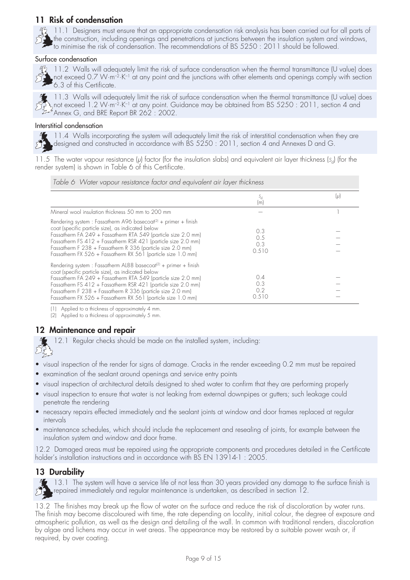## 11 Risk of condensation

 $\frac{M_2}{N_1}$  11.1 Designers must ensure that an appropriate condensation risk analysis has been carried out for all parts of the construction, including openings and penetrations at junctions between the insulation system and windows, the construction, including openings and perientifications of BS 5250 : 2011 should be followed.<br>The recommendations of BS 5250 : 2011 should be followed.

#### Surface condensation



<sup>42</sup>/<sub>2</sub> 11.2 Walls will adequately limit the risk of surface condensation when the thermal transmittance (U value) does not exceed 0.7  $W \cdot m^{-2} \cdot K^{-1}$  at any point and the junctions with other elements and openings comply with section 6.3 of this Certificate.



11.3 Walls will adequately limit the risk of surface condensation when the thermal transmittance (U value) does not exceed 1.2 W·m–2·K–1 at any point. Guidance may be obtained from BS 5250 : 2011, section 4 and Annex G, and BRE Report BR 262 : 2002.

#### Interstitial condensation

11.4 Walls incorporating the system will adequately limit the risk of interstitial condensation when they are designed and constructed in accordance with BS 5250 : 2011, section 4 and Annexes D and G.

11.5 The water vapour resistance (*µ*) factor (for the insulation slabs) and equivalent air layer thickness (*s*d) (for the render system) is shown in Table 6 of this Certificate.

| Table 6 Water vapour resistance factor and equivalent air layer thickness                                                                                                                                                                                                                                                                                                                         |                            |         |
|---------------------------------------------------------------------------------------------------------------------------------------------------------------------------------------------------------------------------------------------------------------------------------------------------------------------------------------------------------------------------------------------------|----------------------------|---------|
|                                                                                                                                                                                                                                                                                                                                                                                                   | S <sub>d</sub><br>(m)      | $(\mu)$ |
| Mineral wool insulation thickness 50 mm to 200 mm                                                                                                                                                                                                                                                                                                                                                 |                            |         |
| Rendering system : Fassatherm A96 basecoat <sup>(2)</sup> + primer + finish<br>coat (specific particle size), as indicated below<br>Fassatherm FA 249 + Fassatherm RTA 549 (particle size 2.0 mm)<br>Fassatherm FS 412 + Fassatherm RSR 421 (particle size 2.0 mm)<br>Fassatherm F 238 + Fassatherm R 336 (particle size 2.0 mm)<br>Fassatherm FX 526 + Fassatherm RX 561 (particle size 1.0 mm)  | 0.3<br>0.5<br>0.3<br>0.510 |         |
| Rendering system : Fassatherm AL88 basecoat <sup>(2)</sup> + primer + finish<br>coat (specific particle size), as indicated below<br>Fassatherm FA 249 + Fassatherm RTA 549 (particle size 2.0 mm)<br>Fassatherm FS 412 + Fassatherm RSR 421 (particle size 2.0 mm)<br>Fassatherm F 238 + Fassatherm R 336 (particle size 2.0 mm)<br>Fassatherm FX 526 + Fassatherm RX 561 (particle size 1.0 mm) | 0.4<br>0.3<br>0.2<br>0.510 |         |

(1) Applied to a thickness of approximately 4 mm.

(2) Applied to a thickness of approximately 5 mm.

## 12 Maintenance and repair

12.1 Regular checks should be made on the installed system, including:

visual inspection of the render for signs of damage. Cracks in the render exceeding 0.2 mm must be repaired

- examination of the sealant around openings and service entry points
- visual inspection of architectural details designed to shed water to confirm that they are performing properly
- visual inspection to ensure that water is not leaking from external downpipes or gutters; such leakage could penetrate the rendering
- necessary repairs effected immediately and the sealant joints at window and door frames replaced at regular intervals
- maintenance schedules, which should include the replacement and resealing of joints, for example between the insulation system and window and door frame.

12.2 Damaged areas must be repaired using the appropriate components and procedures detailed in the Certificate holder's installation instructions and in accordance with BS EN 13914-1: 2005.

## 13 Durability



د درستان<br>محمد پیران

13.1 The system will have a service life of not less than 30 years provided any damage to the surface finish is repaired immediately and regular maintenance is undertaken, as described in section 12.

13.2 The finishes may break up the flow of water on the surface and reduce the risk of discoloration by water runs. The finish may become discoloured with time, the rate depending on locality, initial colour, the degree of exposure and atmospheric pollution, as well as the design and detailing of the wall. In common with traditional renders, discoloration by algae and lichens may occur in wet areas. The appearance may be restored by a suitable power wash or, if required, by over coating.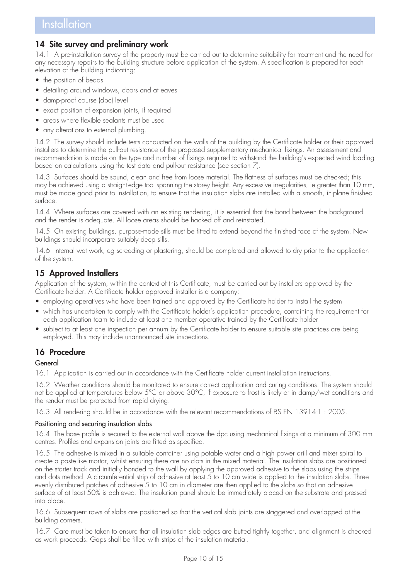## 14 Site survey and preliminary work

14.1 A pre-installation survey of the property must be carried out to determine suitability for treatment and the need for any necessary repairs to the building structure before application of the system. A specification is prepared for each elevation of the building indicating:

- the position of beads
- detailing around windows, doors and at eaves
- damp-proof course (dpc) level
- exact position of expansion joints, if required
- areas where flexible sealants must be used
- any alterations to external plumbing.

14.2 The survey should include tests conducted on the walls of the building by the Certificate holder or their approved installers to determine the pull-out resistance of the proposed supplementary mechanical fixings. An assessment and recommendation is made on the type and number of fixings required to withstand the building's expected wind loading based on calculations using the test data and pull-out resistance (see section 7).

14.3 Surfaces should be sound, clean and free from loose material. The flatness of surfaces must be checked; this may be achieved using a straight-edge tool spanning the storey height. Any excessive irregularities, ie greater than 10 mm, must be made good prior to installation, to ensure that the insulation slabs are installed with a smooth, in-plane finished surface.

14.4 Where surfaces are covered with an existing rendering, it is essential that the bond between the background and the render is adequate. All loose areas should be hacked off and reinstated.

14.5 On existing buildings, purpose-made sills must be fitted to extend beyond the finished face of the system. New buildings should incorporate suitably deep sills.

14.6 Internal wet work, eg screeding or plastering, should be completed and allowed to dry prior to the application of the system.

## 15 Approved Installers

Application of the system, within the context of this Certificate, must be carried out by installers approved by the Certificate holder. A Certificate holder approved installer is a company:

- employing operatives who have been trained and approved by the Certificate holder to install the system
- which has undertaken to comply with the Certificate holder's application procedure, containing the requirement for each application team to include at least one member operative trained by the Certificate holder
- subject to at least one inspection per annum by the Certificate holder to ensure suitable site practices are being employed. This may include unannounced site inspections.

## 16 Procedure

#### General

16.1 Application is carried out in accordance with the Certificate holder current installation instructions.

16.2 Weather conditions should be monitored to ensure correct application and curing conditions. The system should not be applied at temperatures below 5°C or above 30°C, if exposure to frost is likely or in damp/wet conditions and the render must be protected from rapid drying.

16.3 All rendering should be in accordance with the relevant recommendations of BS EN 13914-1 : 2005.

#### Positioning and securing insulation slabs

16.4 The base profile is secured to the external wall above the dpc using mechanical fixings at a minimum of 300 mm centres. Profiles and expansion joints are fitted as specified.

16.5 The adhesive is mixed in a suitable container using potable water and a high power drill and mixer spiral to create a paste-like mortar, whilst ensuring there are no clots in the mixed material. The insulation slabs are positioned on the starter track and initially bonded to the wall by applying the approved adhesive to the slabs using the strips and dots method. A circumferential strip of adhesive at least 5 to 10 cm wide is applied to the insulation slabs. Three evenly distributed patches of adhesive 5 to 10 cm in diameter are then applied to the slabs so that an adhesive surface of at least 50% is achieved. The insulation panel should be immediately placed on the substrate and pressed into place.

16.6 Subsequent rows of slabs are positioned so that the vertical slab joints are staggered and overlapped at the building corners.

16.7 Care must be taken to ensure that all insulation slab edges are butted tightly together, and alignment is checked as work proceeds. Gaps shall be filled with strips of the insulation material.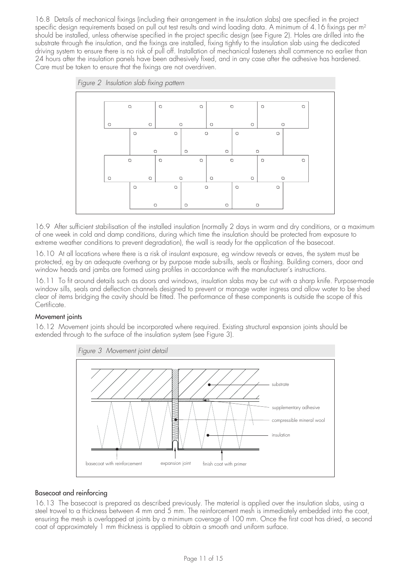16.8 Details of mechanical fixings (including their arrangement in the insulation slabs) are specified in the project specific design requirements based on pull out test results and wind loading data. A minimum of 4.16 fixings per m<sup>2</sup> should be installed, unless otherwise specified in the project specific design (see Figure 2). Holes are drilled into the substrate through the insulation, and the fixings are installed, fixing tightly to the insulation slab using the dedicated driving system to ensure there is no risk of pull off. Installation of mechanical fasteners shall commence no earlier than 24 hours after the insulation panels have been adhesively fixed, and in any case after the adhesive has hardened. Care must be taken to ensure that the fixings are not overdriven.



16.9 After sufficient stabilisation of the installed insulation (normally 2 days in warm and dry conditions, or a maximum of one week in cold and damp conditions, during which time the insulation should be protected from exposure to extreme weather conditions to prevent degradation), the wall is ready for the application of the basecoat.

16.10 At all locations where there is a risk of insulant exposure, eg window reveals or eaves, the system must be protected, eg by an adequate overhang or by purpose made sub-sills, seals or flashing. Building corners, door and window heads and jambs are formed using profiles in accordance with the manufacturer's instructions.

16.11 To fit around details such as doors and windows, insulation slabs may be cut with a sharp knife. Purpose-made window sills, seals and deflection channels designed to prevent or manage water ingress and allow water to be shed clear of items bridging the cavity should be fitted. The performance of these components is outside the scope of this Certificate.

#### Movement joints

16.12 Movement joints should be incorporated where required. Existing structural expansion joints should be extended through to the surface of the insulation system (see Figure 3).



#### Basecoat and reinforcing

16.13 The basecoat is prepared as described previously. The material is applied over the insulation slabs, using a steel trowel to a thickness between 4 mm and 5 mm. The reinforcement mesh is immediately embedded into the coat, ensuring the mesh is overlapped at joints by a minimum coverage of 100 mm. Once the first coat has dried, a second coat of approximately 1 mm thickness is applied to obtain a smooth and uniform surface.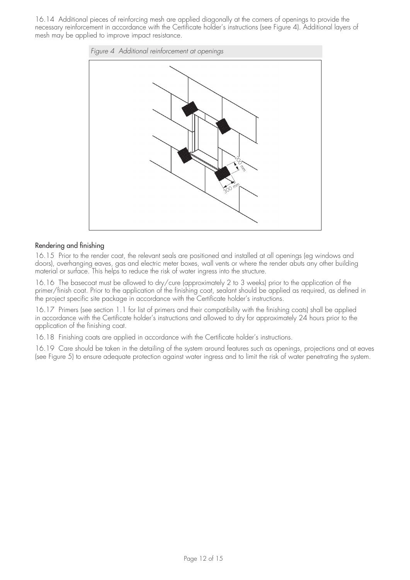16.14 Additional pieces of reinforcing mesh are applied diagonally at the corners of openings to provide the necessary reinforcement in accordance with the Certificate holder's instructions (see Figure 4). Additional layers of mesh may be applied to improve impact resistance.



#### Rendering and finishing

16.15 Prior to the render coat, the relevant seals are positioned and installed at all openings (eg windows and doors), overhanging eaves, gas and electric meter boxes, wall vents or where the render abuts any other building material or surface. This helps to reduce the risk of water ingress into the structure.

16.16 The basecoat must be allowed to dry/cure (approximately 2 to 3 weeks) prior to the application of the primer/finish coat. Prior to the application of the finishing coat, sealant should be applied as required, as defined in the project specific site package in accordance with the Certificate holder's instructions.

16.17 Primers (see section 1.1 for list of primers and their compatibility with the finishing coats) shall be applied in accordance with the Certificate holder's instructions and allowed to dry for approximately 24 hours prior to the application of the finishing coat.

16.18 Finishing coats are applied in accordance with the Certificate holder's instructions.

16.19 Care should be taken in the detailing of the system around features such as openings, projections and at eaves (see Figure 5) to ensure adequate protection against water ingress and to limit the risk of water penetrating the system.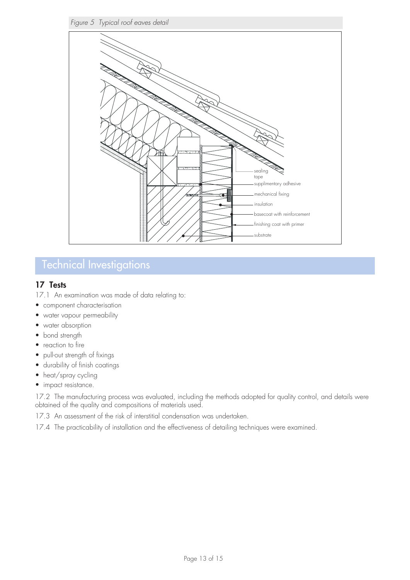

## Technical Investigations

## 17 Tests

17.1 An examination was made of data relating to:

- component characterisation
- water vapour permeability
- water absorption
- bond strength
- reaction to fire
- pull-out strength of fixings
- durability of finish coatings
- heat/spray cycling
- impact resistance.

17.2 The manufacturing process was evaluated, including the methods adopted for quality control, and details were obtained of the quality and compositions of materials used.

17.3 An assessment of the risk of interstitial condensation was undertaken.

17.4 The practicability of installation and the effectiveness of detailing techniques were examined.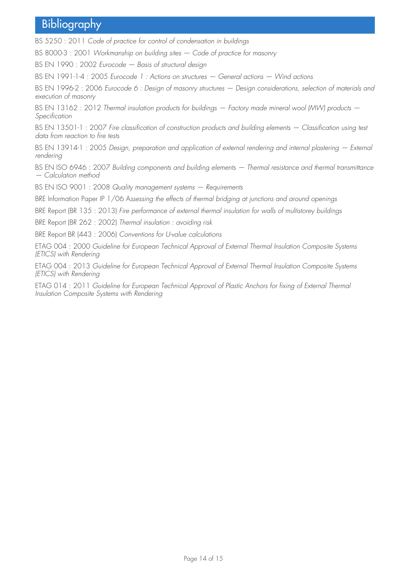## **Bibliography**

BS 5250 : 2011 *Code of practice for control of condensation in buildings* 

BS 8000-3 : 2001 *Workmanship on building sites — Code of practice for masonry*

BS EN 1990 : 2002 *Eurocode — Basis of structural design*

BS EN 1991-1-4 : 2005 *Eurocode 1 : Actions on structures — General actions — Wind actions* 

BS EN 1996-2 : 2006 *Eurocode 6 : Design of masonry structures — Design considerations, selection of materials and execution of masonry*

BS EN 13162 : 2012 *Thermal insulation products for buildings — Factory made mineral wool (MW) products — Specification*

BS EN 13501-1 : 2007 *Fire classification of construction products and building elements — Classification using test data from reaction to fire tests* 

BS EN 13914-1 : 2005 *Design, preparation and application of external rendering and internal plastering – External rendering* 

BS EN ISO 6946 : 2007 *Building components and building elements — Thermal resistance and thermal transmittance — Calculation method* 

BS EN ISO 9001 : 2008 *Quality management systems — Requirements* 

BRE Information Paper IP 1/06 A*ssessing the effects of thermal bridging at junctions and around openings*

BRE Report (BR 135 : 2013) *Fire performance of external thermal insulation for walls of multistorey buildings* 

BRE Report (BR 262 : 2002) *Thermal insulation : avoiding risk*

BRE Report BR (443 : 2006) *Conventions for U-value calculations*

ETAG 004 : 2000 *Guideline for European Technical Approval of External Thermal Insulation Composite Systems (ETICS) with Rendering*

ETAG 004 : 2013 *Guideline for European Technical Approval of External Thermal Insulation Composite Systems (ETICS) with Rendering*

ETAG 014 : 2011 *Guideline for European Technical Approval of Plastic Anchors for fixing of External Thermal Insulation Composite Systems with Rendering*